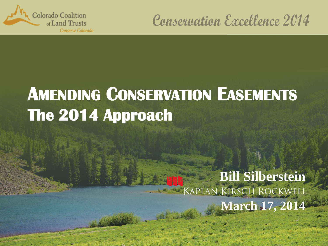

## **Conservation Excellence 2014**

# **AMENDING CONSERVATION EASEMENTS The 2014 Approach**

#### **Bill Silberstein** KAPLAN KIRSCH ROCKWELL **March 17, 201**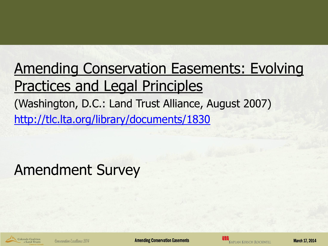## Amending Conservation Easements: Evolving Practices and Legal Principles (Washington, D.C.: Land Trust Alliance, August 2007) <http://tlc.lta.org/library/documents/1830>

## Amendment Survey

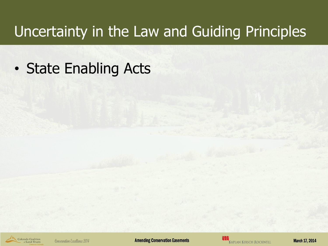## Uncertainty in the Law and Guiding Principles

• State Enabling Acts

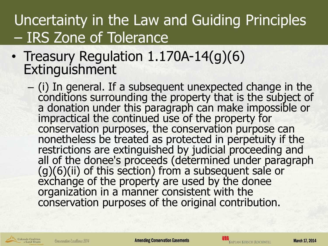## Uncertainty in the Law and Guiding Principles – IRS Zone of Tolerance

- Treasury Regulation 1.170A-14(q)(6) Extinguishment
	- (i) In general. If a subsequent unexpected change in the conditions surrounding the property that is the subject of a donation under this paragraph can make impossible or impractical the continued use of the property for conservation purposes, the conservation purpose can nonetheless be treated as protected in perpetuity if the restrictions are extinguished by judicial proceeding and all of the donee's proceeds (determined under paragraph  $(g)(6)(ii)$  of this section) from a subsequent sale or exchange of the property are used by the donee organization in a manner consistent with the conservation purposes of the original contribution.

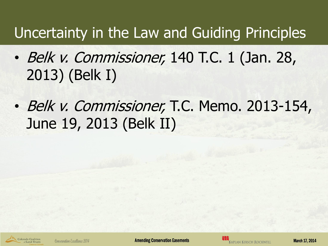## Uncertainty in the Law and Guiding Principles

- Belk v. Commissioner, 140 T.C. 1 (Jan. 28, 2013) (Belk I)
- Belk v. Commissioner, T.C. Memo. 2013-154, June 19, 2013 (Belk II)

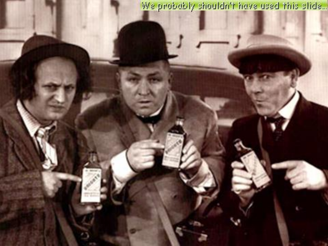We probably shouldn't have used this slide...

Uncertainty in the Law and Guiding Principles of the Law and Guiding Principles of the Law and

**France of the contract of the contract of the contract of the contract of the contract of the contract of the contract of the contract of the contract of the contract of the contract of the contract of the contract of the**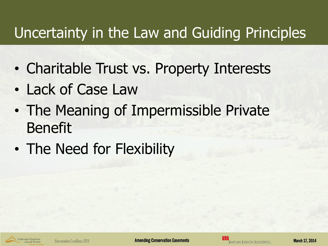## Uncertainty in the Law and Guiding Principles

- Charitable Trust vs. Property Interests
- Lack of Case Law
- The Meaning of Impermissible Private Benefit
- The Need for Flexibility

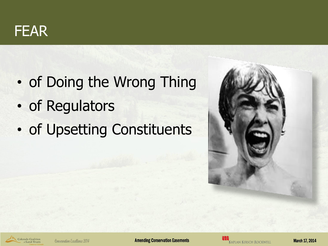

- of Doing the Wrong Thing
- of Regulators
- of Upsetting Constituents





Conservation Excellence 2014

**Amending Conservation Easements**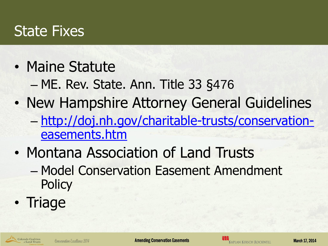#### State Fixes

- Maine Statute
	- ME. Rev. State. Ann. Title 33 §476
- New Hampshire Attorney General Guidelines – [http://doj.nh.gov/charitable-trusts/conservation](http://doj.nh.gov/charitable-trusts/conservation-easements.htm)[easements.htm](http://doj.nh.gov/charitable-trusts/conservation-easements.htm)
- Montana Association of Land Trusts
	- Model Conservation Easement Amendment **Policy**
- Triage

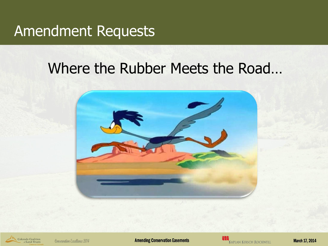#### Where the Rubber Meets the Road...



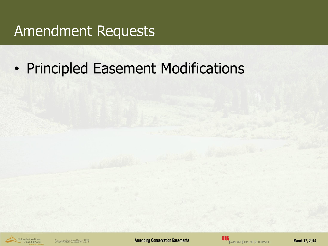• Principled Easement Modifications

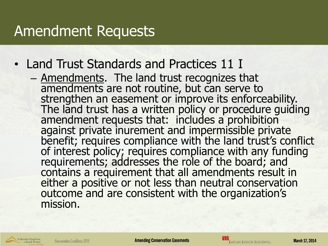- Land Trust Standards and Practices 11 I
	- Amendments. The land trust recognizes that amendments are not routine, but can serve to strengthen an easement or improve its enforceability. The land trust has a written policy or procedure quiding amendment requests that: includes a prohibition against private inurement and impermissible private benefit; requires compliance with the land trust's conflict of interest policy; requires compliance with any funding requirements; addresses the role of the board; and contains a requirement that all amendments result in either a positive or not less than neutral conservation outcome and are consistent with the organization's mission.

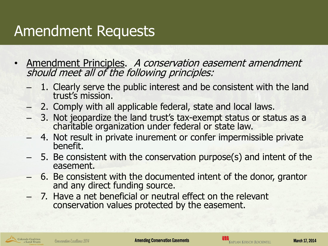- Amendment Principles. A conservation easement amendment should meet all of the following principles:
	- 1. Clearly serve the public interest and be consistent with the land trust's mission.
	- 2. Comply with all applicable federal, state and local laws.
	- 3. Not jeopardize the land trust's tax-exempt status or status as a charitable organization under federal or state law.
	- 4. Not result in private inurement or confer impermissible private benefit.
	- 5. Be consistent with the conservation purpose(s) and intent of the easement.
	- 6. Be consistent with the documented intent of the donor, grantor and any direct funding source.
	- 7. Have a net beneficial or neutral effect on the relevant conservation values protected by the easement.

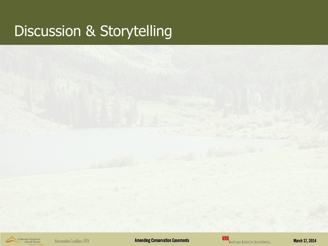## Discussion & Storytelling

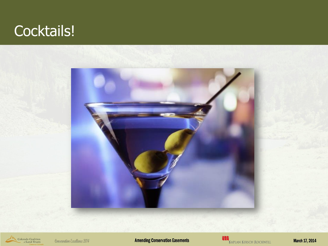## Cocktails!